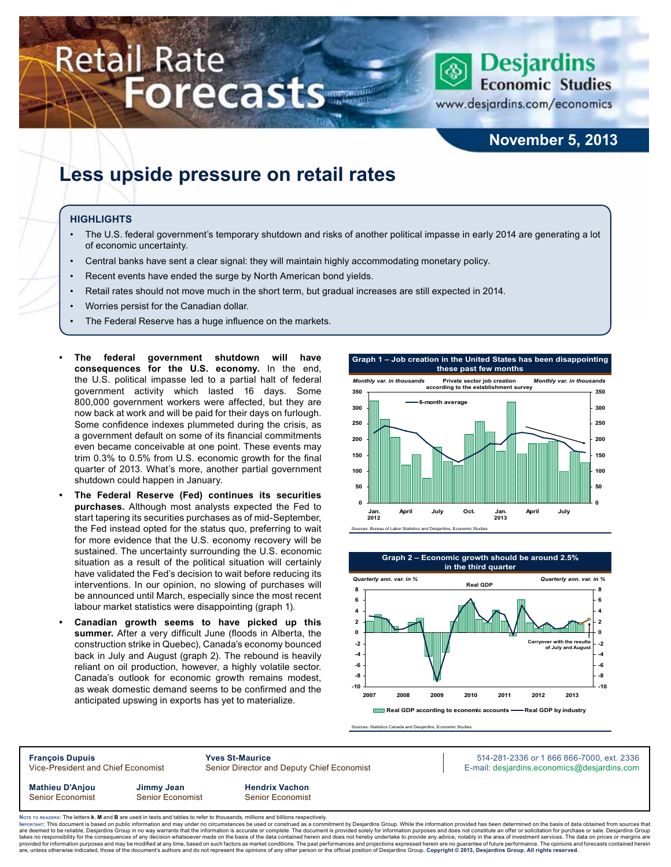# **Retail Rate Forecasts**



www.desjardins.com/economics

### **November 5, 2013**

# **Less upside pressure on retail rates**

#### **Highlights**

- The U.S. federal government's temporary shutdown and risks of another political impasse in early 2014 are generating a lot of economic uncertainty.
- Central banks have sent a clear signal: they will maintain highly accommodating monetary policy.
- Recent events have ended the surge by North American bond yields.
- Retail rates should not move much in the short term, but gradual increases are still expected in 2014.
- Worries persist for the Canadian dollar.
- The Federal Reserve has a huge influence on the markets.
- The federal government shutdown will have **consequences for the U.S. economy.** In the end, the U.S. political impasse led to a partial halt of federal government activity which lasted 16 days. Some 800,000 government workers were affected, but they are now back at work and will be paid for their days on furlough. Some confidence indexes plummeted during the crisis, as a government default on some of its financial commitments even became conceivable at one point. These events may trim 0.3% to 0.5% from U.S. economic growth for the final quarter of 2013. What's more, another partial government shutdown could happen in January.
- **• The Federal Reserve (Fed) continues its securities purchases.** Although most analysts expected the Fed to start tapering its securities purchases as of mid-September, the Fed instead opted for the status quo, preferring to wait for more evidence that the U.S. economy recovery will be sustained. The uncertainty surrounding the U.S. economic situation as a result of the political situation will certainly have validated the Fed's decision to wait before reducing its interventions. In our opinion, no slowing of purchases will be announced until March, especially since the most recent labour market statistics were disappointing (graph 1).
- **Canadian growth seems to have picked up this summer.** After a very difficult June (floods in Alberta, the construction strike in Quebec), Canada's economy bounced back in July and August (graph 2). The rebound is heavily reliant on oil production, however, a highly volatile sector. Canada's outlook for economic growth remains modest, as weak domestic demand seems to be confirmed and the anticipated upswing in exports has yet to materialize.





rces: Statistics Canada and Desiardins, Economic Studies

**François Dupuis Yves St-Maurice** 514-281-2336 *or* 1 866 866-7000, ext. 2336 Vice-President and Chief Economist Senior Director and Deputy Chief Economist E-mail: desjardins.economics@desjardins.com **Mathieu D'Anjou Jimmy Jean Hendrix Vachon** Senior Economist Senior Economist Senior Economist

Noте то келоекs: The letters **k, M** and **B** are used in texts and tables to refer to thousands, millions and billions respectively.<br>Імроктлит: This document is based on public information and may under no circumstances be are deemed to be reliable, Desjardins Group in no way warrants that the information is accurate or complete. The document is provided solely for information purposes and does not constitute an offer or solicitation for pur takes no responsibility for the consequences of any decision whatsoever made on the basis of the data contained herein and does not hereby undertake to provide any advice, notably in the area of investment services. The da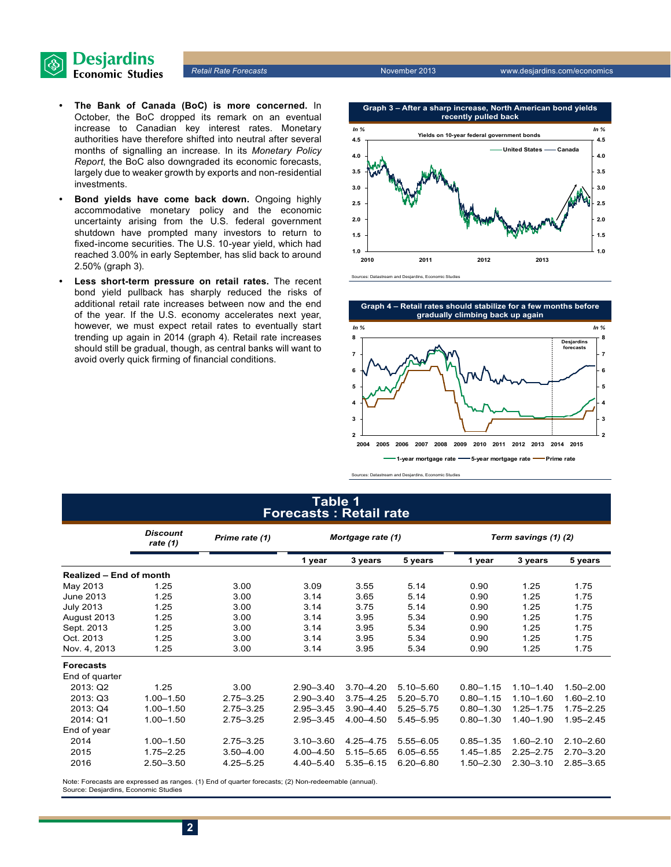

- **• The Bank of Canada (BoC) is more concerned.** In October, the BoC dropped its remark on an eventual increase to Canadian key interest rates. Monetary authorities have therefore shifted into neutral after several months of signalling an increase. In its *Monetary Policy Report*, the BoC also downgraded its economic forecasts, largely due to weaker growth by exports and non-residential investments.
- **Bond yields have come back down.** Ongoing highly accommodative monetary policy and the economic uncertainty arising from the U.S. federal government shutdown have prompted many investors to return to fixed-income securities. The U.S. 10‑year yield, which had reached 3.00% in early September, has slid back to around 2.50% (graph 3).
- Less short-term pressure on retail rates. The recent bond yield pullback has sharply reduced the risks of additional retail rate increases between now and the end of the year. If the U.S. economy accelerates next year, however, we must expect retail rates to eventually start trending up again in 2014 (graph 4). Retail rate increases should still be gradual, though, as central banks will want to avoid overly quick firming of financial conditions.





Sources: Datastream and Desjardins, Economic Studies

#### **Table 1 Forecasts : Retail rate**

|                                | <b>Discount</b><br>Prime rate (1)<br>rate $(1)$ |               |               | Mortgage rate (1) |               |               | Term savings (1) (2) |               |  |  |
|--------------------------------|-------------------------------------------------|---------------|---------------|-------------------|---------------|---------------|----------------------|---------------|--|--|
|                                |                                                 |               | 1 year        | 3 years           | 5 years       | 1 year        | 3 years              | 5 years       |  |  |
| <b>Realized - End of month</b> |                                                 |               |               |                   |               |               |                      |               |  |  |
| May 2013                       | 1.25                                            | 3.00          | 3.09          | 3.55              | 5.14          | 0.90          | 1.25                 | 1.75          |  |  |
| June 2013                      | 1.25                                            | 3.00          | 3.14          | 3.65              | 5.14          | 0.90          | 1.25                 | 1.75          |  |  |
| <b>July 2013</b>               | 1.25                                            | 3.00          | 3.14          | 3.75              | 5.14          | 0.90          | 1.25                 | 1.75          |  |  |
| August 2013                    | 1.25                                            | 3.00          | 3.14          | 3.95              | 5.34          | 0.90          | 1.25                 | 1.75          |  |  |
| Sept. 2013                     | 1.25                                            | 3.00          | 3.14          | 3.95              | 5.34          | 0.90          | 1.25                 | 1.75          |  |  |
| Oct. 2013                      | 1.25                                            | 3.00          | 3.14          | 3.95              | 5.34          | 0.90          | 1.25                 | 1.75          |  |  |
| Nov. 4, 2013                   | 1.25                                            | 3.00          | 3.14          | 3.95              | 5.34          | 0.90          | 1.25                 | 1.75          |  |  |
| <b>Forecasts</b>               |                                                 |               |               |                   |               |               |                      |               |  |  |
| End of quarter                 |                                                 |               |               |                   |               |               |                      |               |  |  |
| 2013: Q2                       | 1.25                                            | 3.00          | $2.90 - 3.40$ | $3.70 - 4.20$     | $5.10 - 5.60$ | $0.80 - 1.15$ | $1.10 - 1.40$        | $1.50 - 2.00$ |  |  |
| 2013: Q3                       | $1.00 - 1.50$                                   | $2.75 - 3.25$ | $2.90 - 3.40$ | $3.75 - 4.25$     | $5.20 - 5.70$ | $0.80 - 1.15$ | $1.10 - 1.60$        | $1.60 - 2.10$ |  |  |
| 2013: Q4                       | $1.00 - 1.50$                                   | $2.75 - 3.25$ | $2.95 - 3.45$ | $3.90 - 4.40$     | $5.25 - 5.75$ | $0.80 - 1.30$ | $1.25 - 1.75$        | $1.75 - 2.25$ |  |  |
| 2014: Q1                       | $1.00 - 1.50$                                   | $2.75 - 3.25$ | $2.95 - 3.45$ | $4.00 - 4.50$     | $5.45 - 5.95$ | $0.80 - 1.30$ | $1.40 - 1.90$        | $1.95 - 2.45$ |  |  |
| End of year                    |                                                 |               |               |                   |               |               |                      |               |  |  |
| 2014                           | $1.00 - 1.50$                                   | $2.75 - 3.25$ | $3.10 - 3.60$ | 4.25-4.75         | $5.55 - 6.05$ | $0.85 - 1.35$ | $1.60 - 2.10$        | $2.10 - 2.60$ |  |  |
| 2015                           | $1.75 - 2.25$                                   | $3.50 - 4.00$ | 4.00 - 4.50   | $5.15 - 5.65$     | $6.05 - 6.55$ | $1.45 - 1.85$ | $2.25 - 2.75$        | $2.70 - 3.20$ |  |  |
| 2016                           | $2.50 - 3.50$                                   | $4.25 - 5.25$ | 4.40 - 5.40   | $5.35 - 6.15$     | $6.20 - 6.80$ | $1.50 - 2.30$ | $2.30 - 3.10$        | $2.85 - 3.65$ |  |  |

Note: Forecasts are expressed as ranges. (1) End of quarter forecasts; (2) Non-redeemable (annual). Source: Desjardins, Economic Studies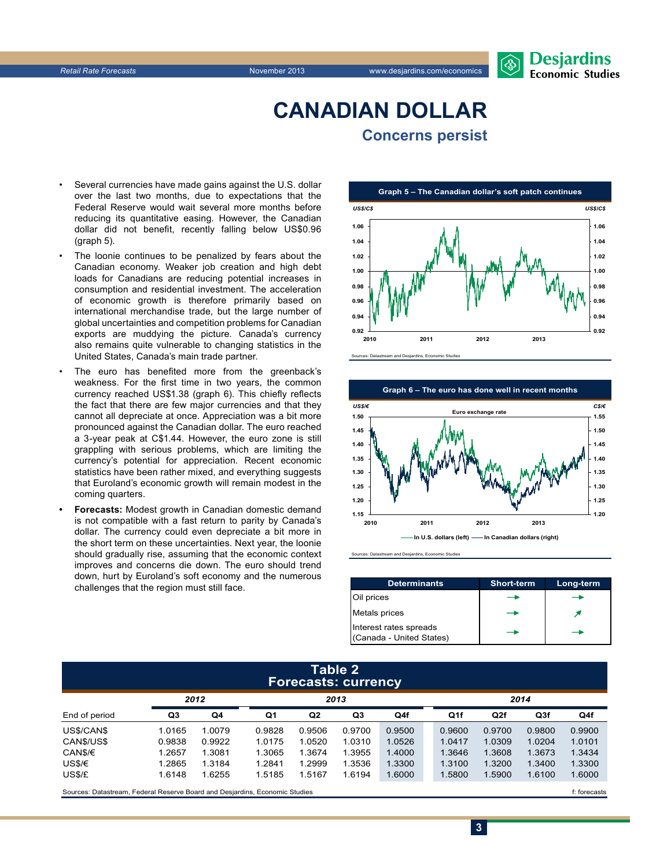

## **CanadiAn Dollar Concerns persist**

- Several currencies have made gains against the U.S. dollar over the last two months, due to expectations that the Federal Reserve would wait several more months before reducing its quantitative easing. However, the Canadian dollar did not benefit, recently falling below US\$0.96 (graph 5).
- The loonie continues to be penalized by fears about the Canadian economy. Weaker job creation and high debt loads for Canadians are reducing potential increases in consumption and residential investment. The acceleration of economic growth is therefore primarily based on international merchandise trade, but the large number of global uncertainties and competition problems for Canadian exports are muddying the picture. Canada's currency also remains quite vulnerable to changing statistics in the United States, Canada's main trade partner.
- The euro has benefited more from the greenback's weakness. For the first time in two years, the common currency reached US\$1.38 (graph 6). This chiefly reflects the fact that there are few major currencies and that they cannot all depreciate at once. Appreciation was a bit more pronounced against the Canadian dollar. The euro reached a 3‑year peak at C\$1.44. However, the euro zone is still grappling with serious problems, which are limiting the currency's potential for appreciation. Recent economic statistics have been rather mixed, and everything suggests that Euroland's economic growth will remain modest in the coming quarters.
- **Forecasts: Modest growth in Canadian domestic demand** is not compatible with a fast return to parity by Canada's dollar. The currency could even depreciate a bit more in the short term on these uncertainties. Next year, the loonie should gradually rise, assuming that the economic context improves and concerns die down. The euro should trend down, hurt by Euroland's soft economy and the numerous challenges that the region must still face.





Sources: Datastream and Desjardins, Economic Studies

| <b>Determinants</b>                                | <b>Short-term</b> | Long-term |
|----------------------------------------------------|-------------------|-----------|
| Oil prices                                         |                   |           |
| Metals prices                                      |                   |           |
| Interest rates spreads<br>(Canada - United States) |                   |           |

**3**

#### **Table 2 Forecasts: currency**

|               | 2012   |        | 2013   |                |        |        | 2014            |        |        |        |
|---------------|--------|--------|--------|----------------|--------|--------|-----------------|--------|--------|--------|
| End of period | Q3     | Q4     | Q1     | Q <sub>2</sub> | Q3     | Q4f    | Q <sub>1f</sub> | Q2f    | Q3f    | Q4f    |
| US\$/CAN\$    | 1.0165 | 1.0079 | 0.9828 | 0.9506         | 0.9700 | 0.9500 | 0.9600          | 0.9700 | 0.9800 | 0.9900 |
| CAN\$/US\$    | 0.9838 | 0.9922 | 1.0175 | 1.0520         | 1.0310 | 1.0526 | 1.0417          | 1.0309 | 1.0204 | 1.0101 |
| CAN\$/€       | 1.2657 | 1.3081 | 1.3065 | 1.3674         | 1.3955 | 1.4000 | 1.3646          | 1.3608 | 1.3673 | 1.3434 |
| US\$/€        | 1.2865 | 1.3184 | 1.2841 | 1.2999         | 1.3536 | 1.3300 | 1.3100          | 1.3200 | 1.3400 | 1.3300 |
| US\$/£        | 1.6148 | 1.6255 | 1.5185 | 1.5167         | 1.6194 | 1.6000 | 1.5800          | 1.5900 | 1.6100 | 1.6000 |
|               |        |        |        |                |        |        |                 |        |        |        |

Sources: Datastream, Federal Reserve Board and Desjardins, Economic Studies file of the case of the case of the case of the case of the case of the case of the case of the case of the case of the case of the case of the ca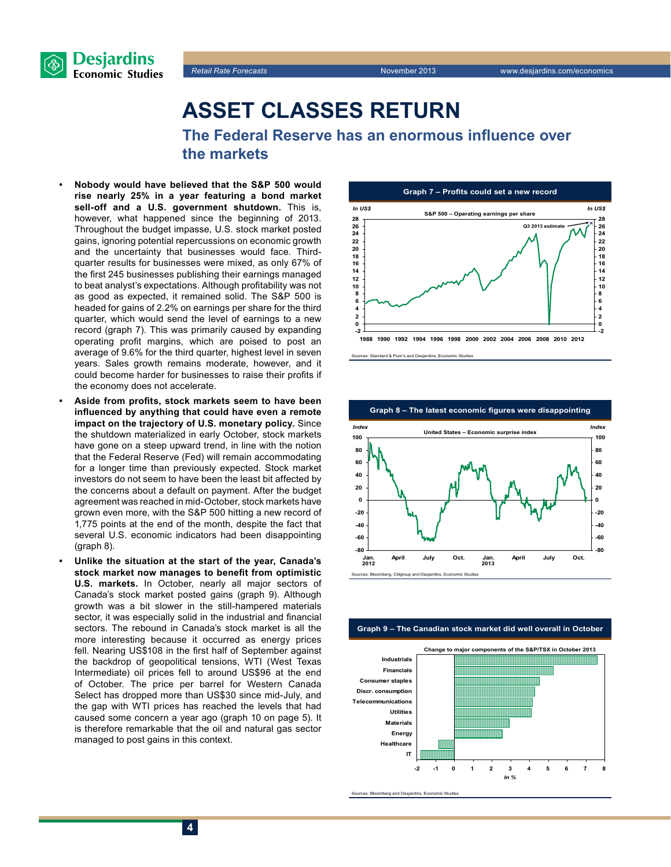



**The Federal Reserve has an enormous influence over the markets**

- **• Nobody would have believed that the S&P 500 would rise nearly 25% in a year featuring a bond market sell-off and a U.S. government shutdown.** This is, however, what happened since the beginning of 2013. Throughout the budget impasse, U.S. stock market posted gains, ignoring potential repercussions on economic growth and the uncertainty that businesses would face. Thirdquarter results for businesses were mixed, as only 67% of the first 245 businesses publishing their earnings managed to beat analyst's expectations. Although profitability was not as good as expected, it remained solid. The S&P 500 is headed for gains of 2.2% on earnings per share for the third quarter, which would send the level of earnings to a new record (graph 7). This was primarily caused by expanding operating profit margins, which are poised to post an average of 9.6% for the third quarter, highest level in seven years. Sales growth remains moderate, however, and it could become harder for businesses to raise their profits if the economy does not accelerate.
- **• Aside from profits, stock markets seem to have been influenced by anything that could have even a remote impact on the trajectory of U.S. monetary policy.** Since the shutdown materialized in early October, stock markets have gone on a steep upward trend, in line with the notion that the Federal Reserve (Fed) will remain accommodating for a longer time than previously expected. Stock market investors do not seem to have been the least bit affected by the concerns about a default on payment. After the budget agreement was reached in mid-October, stock markets have grown even more, with the S&P 500 hitting a new record of 1,775 points at the end of the month, despite the fact that several U.S. economic indicators had been disappointing (graph 8).
- **• Unlike the situation at the start of the year, Canada's stock market now manages to benefit from optimistic U.S. markets.** In October, nearly all major sectors of Canada's stock market posted gains (graph 9). Although growth was a bit slower in the still-hampered materials sector, it was especially solid in the industrial and financial sectors. The rebound in Canada's stock market is all the more interesting because it occurred as energy prices fell. Nearing US\$108 in the first half of September against the backdrop of geopolitical tensions, WTI (West Texas Intermediate) oil prices fell to around US\$96 at the end of October. The price per barrel for Western Canada Select has dropped more than US\$30 since mid-July, and the gap with WTI prices has reached the levels that had caused some concern a year ago (graph 10 on page 5). It is therefore remarkable that the oil and natural gas sector managed to post gains in this context.



Sources: Standard & Poor's and Desjardins, Economic Studies



**Graph 9 – The Canadian stock market did well overall in October**